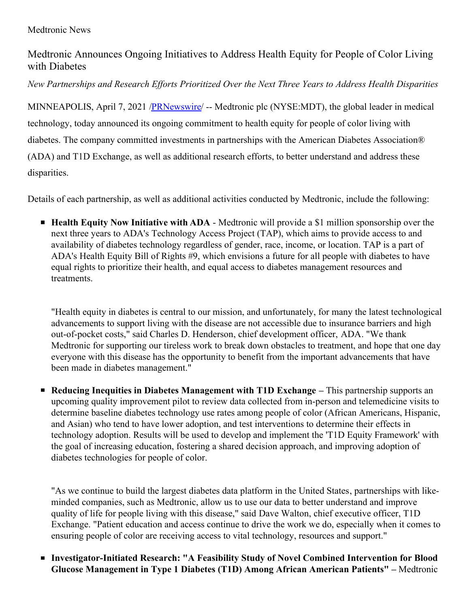# Medtronic Announces Ongoing Initiatives to Address Health Equity for People of Color Living with Diabetes

*New Partnerships and Research Ef orts Prioritized Over the Next Three Years to Address Health Disparities*

MINNEAPOLIS, April 7, 2021 [/PRNewswire/](http://www.prnewswire.com/) -- Medtronic plc (NYSE:MDT), the global leader in medical technology, today announced its ongoing commitment to health equity for people of color living with diabetes. The company committed investments in partnerships with the American Diabetes Association® (ADA) and T1D Exchange, as well as additional research efforts, to better understand and address these disparities.

Details of each partnership, as well as additional activities conducted by Medtronic, include the following:

**Health Equity Now Initiative with ADA** - Medtronic will provide a \$1 million sponsorship over the next three years to ADA's Technology Access Project (TAP), which aims to provide access to and availability of diabetes technology regardless of gender, race, income, or location. TAP is a part of ADA's Health Equity Bill of Rights #9, which envisions a future for all people with diabetes to have equal rights to prioritize their health, and equal access to diabetes management resources and treatments.

"Health equity in diabetes is central to our mission, and unfortunately, for many the latest technological advancements to support living with the disease are not accessible due to insurance barriers and high out-of-pocket costs," said Charles D. Henderson, chief development officer, ADA. "We thank Medtronic for supporting our tireless work to break down obstacles to treatment, and hope that one day everyone with this disease has the opportunity to benefit from the important advancements that have been made in diabetes management."

**Reducing Inequities in Diabetes Management with T1D Exchange –** This partnership supports an upcoming quality improvement pilot to review data collected from in-person and telemedicine visits to determine baseline diabetes technology use rates among people of color (African Americans, Hispanic, and Asian) who tend to have lower adoption, and test interventions to determine their effects in technology adoption. Results will be used to develop and implement the 'T1D Equity Framework' with the goal of increasing education, fostering a shared decision approach, and improving adoption of diabetes technologies for people of color.

"As we continue to build the largest diabetes data platform in the United States, partnerships with likeminded companies, such as Medtronic, allow us to use our data to better understand and improve quality of life for people living with this disease," said Dave Walton, chief executive officer, T1D Exchange. "Patient education and access continue to drive the work we do, especially when it comes to ensuring people of color are receiving access to vital technology, resources and support."

**Investigator-Initiated Research: "A Feasibility Study of Novel Combined Intervention for Blood Glucose Management in Type 1 Diabetes (T1D) Among African American Patients" –** Medtronic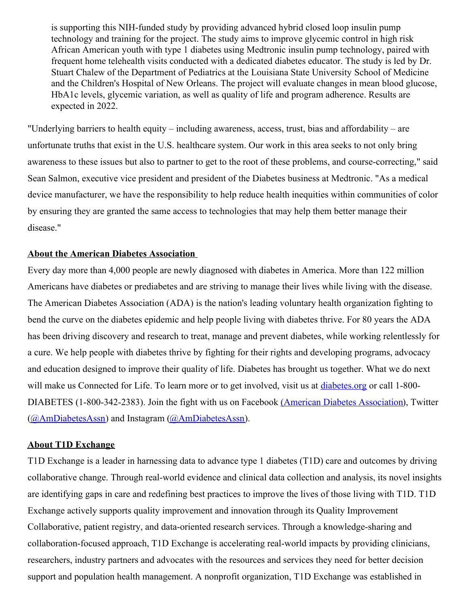is supporting this NIH-funded study by providing advanced hybrid closed loop insulin pump technology and training for the project. The study aims to improve glycemic control in high risk African American youth with type 1 diabetes using Medtronic insulin pump technology, paired with frequent home telehealth visits conducted with a dedicated diabetes educator. The study is led by Dr. Stuart Chalew of the Department of Pediatrics at the Louisiana State University School of Medicine and the Children's Hospital of New Orleans. The project will evaluate changes in mean blood glucose, HbA1c levels, glycemic variation, as well as quality of life and program adherence. Results are expected in 2022.

"Underlying barriers to health equity – including awareness, access, trust, bias and affordability – are unfortunate truths that exist in the U.S. healthcare system. Our work in this area seeks to not only bring awareness to these issues but also to partner to get to the root of these problems, and course-correcting," said Sean Salmon, executive vice president and president of the Diabetes business at Medtronic. "As a medical device manufacturer, we have the responsibility to help reduce health inequities within communities of color by ensuring they are granted the same access to technologies that may help them better manage their disease."

#### **About the American Diabetes Association**

Every day more than 4,000 people are newly diagnosed with diabetes in America. More than 122 million Americans have diabetes or prediabetes and are striving to manage their lives while living with the disease. The American Diabetes Association (ADA) is the nation's leading voluntary health organization fighting to bend the curve on the diabetes epidemic and help people living with diabetes thrive. For 80 years the ADA has been driving discovery and research to treat, manage and prevent diabetes, while working relentlessly for a cure. We help people with diabetes thrive by fighting for their rights and developing programs, advocacy and education designed to improve their quality of life. Diabetes has brought us together. What we do next will make us Connected for Life. To learn more or to get involved, visit us at [diabetes.org](https://c212.net/c/link/?t=0&l=en&o=3121154-1&h=2215917092&u=https%3A%2F%2Fwww.diabetes.org%2F&a=diabetes.org) or call 1-800-DIABETES (1-800-342-2383). Join the fight with us on Facebook (American Diabetes [Association](https://c212.net/c/link/?t=0&l=en&o=3121154-1&h=551143451&u=https%3A%2F%2Fwww.facebook.com%2FAmericanDiabetesAssociation&a=(American+Diabetes+Association)), Twitter  $(Q\Lambda mDiabetesAssn)$  and Instagram  $(Q\Lambda mDiabetesAssn)$ .

#### **About T1D Exchange**

T1D Exchange is a leader in harnessing data to advance type 1 diabetes (T1D) care and outcomes by driving collaborative change. Through real-world evidence and clinical data collection and analysis, its novel insights are identifying gaps in care and redefining best practices to improve the lives of those living with T1D. T1D Exchange actively supports quality improvement and innovation through its Quality Improvement Collaborative, patient registry, and data-oriented research services. Through a knowledge-sharing and collaboration-focused approach, T1D Exchange is accelerating real-world impacts by providing clinicians, researchers, industry partners and advocates with the resources and services they need for better decision support and population health management. A nonprofit organization, T1D Exchange was established in